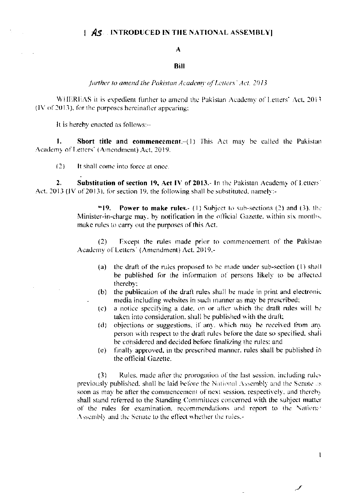## $\parallel$  AS INTRODUCED IN THE NATIONAL ASSEMBLY

## A

## Bill

further to amend the Pakistan Academy of Letters' Act, 2013

WHEREAS it is expedient further to amend the Pakistan Academy of Letters' Act, 2013  $(1V)$  of 2013), for the purposes hereinafter appearing:

It is hereby enacted as follows:--

Short title and commencement.-(1) This Act may be called the Pakistan 1. Academy of Letters' (Amendment) Act, 2019.

 $(2)$ It shall come into force at once.

Substitution of section 19, Act IV of 2013.- In the Pakistan Academy of Letters' 2. Act. 2013 (IV of 2013), for section 19, the following shall be substituted, namely:-

> "19. **Power to make rules.** (1) Subject to sub-sections (2) and (3), the Minister-in-charge may, by notification in the official Gazette, within six montlys. make rules to carry out the purposes of this Act.

> Except the rules made prior to commencement of the Pakistan  $(2)$ Academy of Letters' (Amendment) Act. 2019,-

- (a) the draft of the rules proposed to be made under sub-section (1) shall be published for the information of persons likely to be affected thereby;
- (b) the publication of the draft rules shall be made in print and electronic media including websites in such manner as may be prescribed;
- a notice specifying a date, on or after which the draft rules will be  $(c)$ taken into consideration, shall be published with the draft;
- objections or suggestions, if any, which may be received from any  $(d)$ person with respect to the draft rules before the date so specified, shall be considered and decided before finalizing the rules: and
- finally approved, in the prescribed manner, rules shall be published in  $(e)$ the official Gazette.

 $\mathbf{l}$ 

Rules, made after the prorogation of the last session, including rules  $(3)$ previously published, shall be laid before the National Assembly and the Senate as soon as may be after the commencement of next session, respectively, and thereby shall stand referred to the Standing Committees concerned with the subject matter of the rules for examination, recommendations and report to the Nationet Assembly and the Senate to the effect whether the rules,-